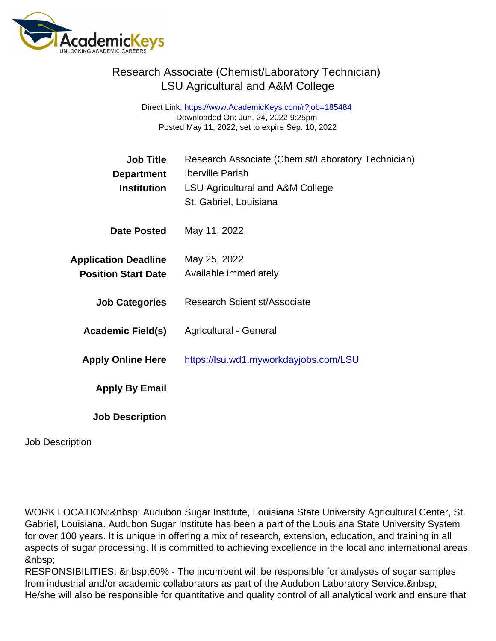## Research Associate (Chemist/Laboratory Technician) LSU Agricultural and A&M College

Direct Link: <https://www.AcademicKeys.com/r?job=185484> Downloaded On: Jun. 24, 2022 9:25pm Posted May 11, 2022, set to expire Sep. 10, 2022

| <b>Job Title</b>            | Research Associate (Chemist/Laboratory Technician) |
|-----------------------------|----------------------------------------------------|
| Department                  | <b>Iberville Parish</b>                            |
| Institution                 | LSU Agricultural and A&M College                   |
|                             | St. Gabriel, Louisiana                             |
| Date Posted                 | May 11, 2022                                       |
| <b>Application Deadline</b> | May 25, 2022                                       |
| <b>Position Start Date</b>  | Available immediately                              |
| <b>Job Categories</b>       | <b>Research Scientist/Associate</b>                |
| Academic Field(s)           | Agricultural - General                             |
| <b>Apply Online Here</b>    | https://lsu.wd1.myworkdayjobs.com/LSU              |
| Apply By Email              |                                                    |
| <b>Job Description</b>      |                                                    |

Job Description

WORK LOCATION: Audubon Sugar Institute, Louisiana State University Agricultural Center, St. Gabriel, Louisiana. Audubon Sugar Institute has been a part of the Louisiana State University System for over 100 years. It is unique in offering a mix of research, extension, education, and training in all aspects of sugar processing. It is committed to achieving excellence in the local and international areas. 

RESPONSIBILITIES: 60% - The incumbent will be responsible for analyses of sugar samples from industrial and/or academic collaborators as part of the Audubon Laboratory Service. He/she will also be responsible for quantitative and quality control of all analytical work and ensure that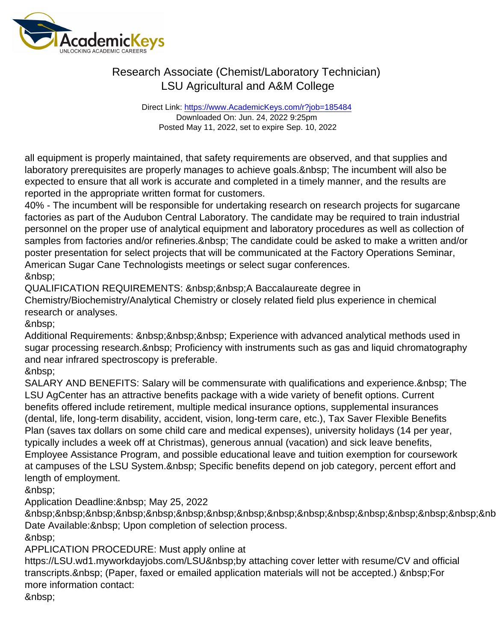## Research Associate (Chemist/Laboratory Technician) LSU Agricultural and A&M College

Direct Link: <https://www.AcademicKeys.com/r?job=185484> Downloaded On: Jun. 24, 2022 9:25pm Posted May 11, 2022, set to expire Sep. 10, 2022

all equipment is properly maintained, that safety requirements are observed, and that supplies and laboratory prerequisites are properly manages to achieve goals. & nbsp; The incumbent will also be expected to ensure that all work is accurate and completed in a timely manner, and the results are reported in the appropriate written format for customers.

40% - The incumbent will be responsible for undertaking research on research projects for sugarcane factories as part of the Audubon Central Laboratory. The candidate may be required to train industrial personnel on the proper use of analytical equipment and laboratory procedures as well as collection of samples from factories and/or refineries. The candidate could be asked to make a written and/or poster presentation for select projects that will be communicated at the Factory Operations Seminar, American Sugar Cane Technologists meetings or select sugar conferences.

QUALIFICATION REQUIREMENTS: A Baccalaureate degree in

Chemistry/Biochemistry/Analytical Chemistry or closely related field plus experience in chemical research or analyses.

Additional Requirements: Experience with advanced analytical methods used in sugar processing research. & nbsp; Proficiency with instruments such as gas and liquid chromatography and near infrared spectroscopy is preferable.

&nbsp:

SALARY AND BENEFITS: Salary will be commensurate with qualifications and experience. & nbsp; The LSU AgCenter has an attractive benefits package with a wide variety of benefit options. Current benefits offered include retirement, multiple medical insurance options, supplemental insurances (dental, life, long-term disability, accident, vision, long-term care, etc.), Tax Saver Flexible Benefits Plan (saves tax dollars on some child care and medical expenses), university holidays (14 per year, typically includes a week off at Christmas), generous annual (vacation) and sick leave benefits, Employee Assistance Program, and possible educational leave and tuition exemption for coursework at campuses of the LSU System. Specific benefits depend on job category, percent effort and length of employment.

Application Deadline: & nbsp; May 25, 2022

 &nb Date Available: & nbsp; Upon completion of selection process.

&nbsp:

APPLICATION PROCEDURE: Must apply online at

https://LSU.wd1.myworkdayjobs.com/LSU by attaching cover letter with resume/CV and official transcripts. (Paper, faxed or emailed application materials will not be accepted.) For more information contact: